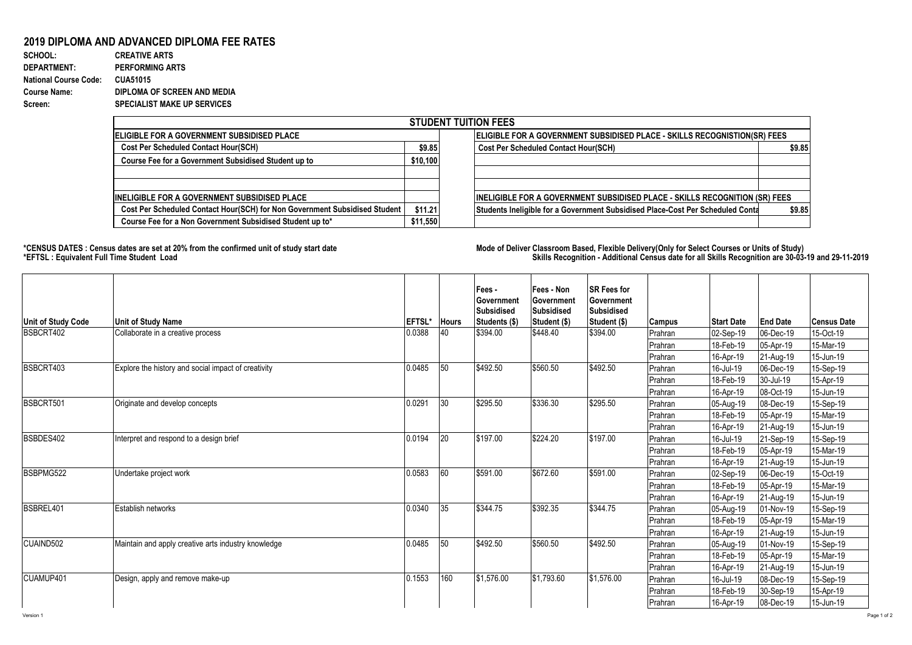## **2019 DIPLOMA AND ADVANCED DIPLOMA FEE RATES**

| SCHOOL:                      | <b>CREATIVE ARTS</b>               |
|------------------------------|------------------------------------|
| <b>DEPARTMENT:</b>           | <b>PERFORMING ARTS</b>             |
| <b>National Course Code:</b> | <b>CUA51015</b>                    |
| <b>Course Name:</b>          | DIPLOMA OF SCREEN AND MEDIA        |
| Screen:                      | <b>SPECIALIST MAKE UP SERVICES</b> |

| <b>STUDENT TUITION FEES</b>                                                |          |                                                                                          |  |  |  |  |  |  |  |
|----------------------------------------------------------------------------|----------|------------------------------------------------------------------------------------------|--|--|--|--|--|--|--|
| <b>IELIGIBLE FOR A GOVERNMENT SUBSIDISED PLACE</b>                         |          | ELIGIBLE FOR A GOVERNMENT SUBSIDISED PLACE - SKILLS RECOGNISTION(SR) FEES                |  |  |  |  |  |  |  |
| <b>Cost Per Scheduled Contact Hour(SCH)</b>                                |          | \$9.85<br><b>Cost Per Scheduled Contact Hour(SCH)</b><br>\$9.85                          |  |  |  |  |  |  |  |
| Course Fee for a Government Subsidised Student up to                       | \$10,100 |                                                                                          |  |  |  |  |  |  |  |
| IINELIGIBLE FOR A GOVERNMENT SUBSIDISED PLACE                              |          | <b>INELIGIBLE FOR A GOVERNMENT SUBSIDISED PLACE - SKILLS RECOGNITION (SR) FEES</b>       |  |  |  |  |  |  |  |
| Cost Per Scheduled Contact Hour(SCH) for Non Government Subsidised Student | \$11.21  | Students Ineligible for a Government Subsidised Place-Cost Per Scheduled Conta<br>\$9.85 |  |  |  |  |  |  |  |
| Course Fee for a Non Government Subsidised Student up to*                  | \$11,550 |                                                                                          |  |  |  |  |  |  |  |

**\*CENSUS DATES : Census dates are set at 20% from the confirmed unit of study start date Mode of Deliver Classroom Based, Flexible Delivery(Only for Select Courses or Units of Study) \*EFTSL : Equivalent Full Time Student Load Skills Recognition - Additional Census date for all Skills Recognition are 30-03-19 and 29-11-2019** 

| <b>Unit of Study Code</b> | <b>Unit of Study Name</b>                           | <b>EFTSL*</b> | <b>Hours</b> | Fees -<br>Government<br><b>Subsidised</b><br>Students (\$) | Fees - Non<br>Government<br><b>Subsidised</b><br>Student (\$) | <b>SR Fees for</b><br>Government<br><b>Subsidised</b><br>Student (\$) | <b>Campus</b> | <b>Start Date</b> | <b>End Date</b> | <b>Census Date</b> |
|---------------------------|-----------------------------------------------------|---------------|--------------|------------------------------------------------------------|---------------------------------------------------------------|-----------------------------------------------------------------------|---------------|-------------------|-----------------|--------------------|
| BSBCRT402                 | Collaborate in a creative process                   | 0.0388        | 40           | \$394.00                                                   | \$448.40                                                      | \$394.00                                                              | Prahran       | 02-Sep-19         | 06-Dec-19       | 15-Oct-19          |
|                           |                                                     |               |              |                                                            |                                                               |                                                                       | Prahran       | 18-Feb-19         | 05-Apr-19       | 15-Mar-19          |
|                           |                                                     |               |              |                                                            |                                                               |                                                                       | Prahran       | 16-Apr-19         | 21-Aug-19       | 15-Jun-19          |
| BSBCRT403                 | Explore the history and social impact of creativity | 0.0485        | 50           | \$492.50                                                   | \$560.50                                                      | \$492.50                                                              | Prahran       | 16-Jul-19         | 06-Dec-19       | 15-Sep-19          |
|                           |                                                     |               |              |                                                            |                                                               |                                                                       | Prahran       | 18-Feb-19         | 30-Jul-19       | 15-Apr-19          |
|                           |                                                     |               |              |                                                            |                                                               |                                                                       | Prahran       | 16-Apr-19         | 08-Oct-19       | 15-Jun-19          |
| BSBCRT501                 | Originate and develop concepts                      | 0.0291        | 30           | \$295.50                                                   | \$336.30                                                      | \$295.50                                                              | Prahran       | 05-Aug-19         | 08-Dec-19       | 15-Sep-19          |
|                           |                                                     |               |              |                                                            |                                                               |                                                                       | Prahran       | 18-Feb-19         | 05-Apr-19       | 15-Mar-19          |
|                           |                                                     |               |              |                                                            |                                                               |                                                                       | Prahran       | 16-Apr-19         | 21-Aug-19       | 15-Jun-19          |
| BSBDES402                 | Interpret and respond to a design brief             | 0.0194        | 20           | \$197.00                                                   | \$224.20                                                      | \$197.00                                                              | Prahran       | 16-Jul-19         | 21-Sep-19       | 15-Sep-19          |
|                           |                                                     |               |              |                                                            |                                                               |                                                                       | Prahran       | 18-Feb-19         | 05-Apr-19       | 15-Mar-19          |
|                           |                                                     |               |              |                                                            |                                                               |                                                                       | Prahran       | 16-Apr-19         | 21-Aug-19       | 15-Jun-19          |
| BSBPMG522                 | Undertake project work                              | 0.0583        | 60           | \$591.00                                                   | \$672.60                                                      | \$591.00                                                              | Prahran       | 02-Sep-19         | 06-Dec-19       | 15-Oct-19          |
|                           |                                                     |               |              |                                                            |                                                               |                                                                       | Prahran       | 18-Feb-19         | 05-Apr-19       | 15-Mar-19          |
|                           |                                                     |               |              |                                                            |                                                               |                                                                       | Prahran       | 16-Apr-19         | 21-Aug-19       | 15-Jun-19          |
| BSBREL401                 | Establish networks                                  | 0.0340        | 35           | \$344.75                                                   | \$392.35                                                      | \$344.75                                                              | Prahran       | 05-Aug-19         | 01-Nov-19       | 15-Sep-19          |
|                           |                                                     |               |              |                                                            |                                                               |                                                                       | Prahran       | 18-Feb-19         | 05-Apr-19       | 15-Mar-19          |
|                           |                                                     |               |              |                                                            |                                                               |                                                                       | Prahran       | 16-Apr-19         | 21-Aug-19       | 15-Jun-19          |
| CUAIND502                 | Maintain and apply creative arts industry knowledge | 0.0485        | 50           | \$492.50                                                   | \$560.50                                                      | \$492.50                                                              | Prahran       | 05-Aug-19         | 01-Nov-19       | 15-Sep-19          |
|                           |                                                     |               |              |                                                            |                                                               |                                                                       | Prahran       | 18-Feb-19         | 05-Apr-19       | 15-Mar-19          |
|                           |                                                     |               |              |                                                            |                                                               |                                                                       | Prahran       | 16-Apr-19         | 21-Aug-19       | 15-Jun-19          |
| CUAMUP401                 | Design, apply and remove make-up                    | 0.1553        | 160          | \$1,576.00                                                 | $\sqrt{$1,793.60}$                                            | \$1,576.00                                                            | Prahran       | 16-Jul-19         | 08-Dec-19       | 15-Sep-19          |
|                           |                                                     |               |              |                                                            |                                                               |                                                                       | Prahran       | 18-Feb-19         | 30-Sep-19       | 15-Apr-19          |
|                           |                                                     |               |              |                                                            |                                                               |                                                                       | Prahran       | 16-Apr-19         | 08-Dec-19       | 15-Jun-19          |